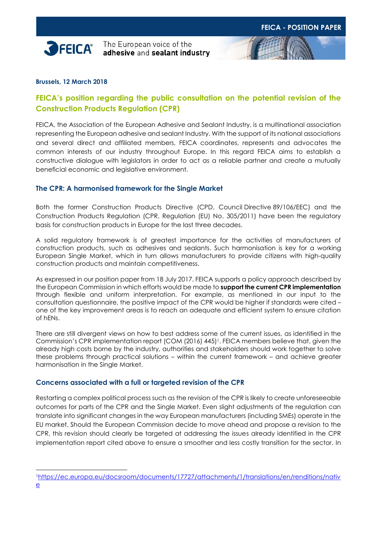

The European voice of the adhesive and sealant industry



# **FEICA's position regarding the public consultation on the potential revision of the Construction Products Regulation (CPR)**

FEICA, the Association of the European Adhesive and Sealant Industry, is a multinational association representing the European adhesive and sealant Industry. With the support of its national associations and several direct and affiliated members, FEICA coordinates, represents and advocates the common interests of our industry throughout Europe. In this regard FEICA aims to establish a constructive dialogue with legislators in order to act as a reliable partner and create a mutually beneficial economic and legislative environment.

## **The CPR: A harmonised framework for the Single Market**

Both the former Construction Products Directive (CPD, Council Directive 89/106/EEC) and the Construction Products Regulation (CPR, Regulation (EU) No. 305/2011) have been the regulatory basis for construction products in Europe for the last three decades.

A solid regulatory framework is of greatest importance for the activities of manufacturers of construction products, such as adhesives and sealants. Such harmonisation is key for a working European Single Market, which in turn allows manufacturers to provide citizens with high-quality construction products and maintain competitiveness.

As expressed in our position paper from 18 July 2017, FEICA supports a policy approach described by the European Commission in which efforts would be made to **support the current CPR implementation** through flexible and uniform interpretation. For example, as mentioned in our input to the consultation questionnaire, the positive impact of the CPR would be higher if standards were cited – one of the key improvement areas is to reach an adequate and efficient system to ensure citation of hENs.

There are still divergent views on how to best address some of the current issues, as identified in the Commission's CPR implementation report (COM (2016) 445) <sup>1</sup>. FEICA members believe that, given the already high costs borne by the industry, authorities and stakeholders should work together to solve these problems through practical solutions – within the current framework – and achieve greater harmonisation in the Single Market.

## **Concerns associated with a full or targeted revision of the CPR**

Restarting a complex political process such as the revision of the CPR is likely to create unforeseeable outcomes for parts of the CPR and the Single Market. Even slight adjustments of the regulation can translate into significant changes in the way European manufacturers (including SMEs) operate in the EU market. Should the European Commission decide to move ahead and propose a revision to the CPR, this revision should clearly be targeted at addressing the issues already identified in the CPR implementation report cited above to ensure a smoother and less costly transition for the sector. In

-

<sup>1</sup>[https://ec.europa.eu/docsroom/documents/17727/attachments/1/translations/en/renditions/nativ](https://ec.europa.eu/docsroom/documents/17727/attachments/1/translations/en/renditions/native)